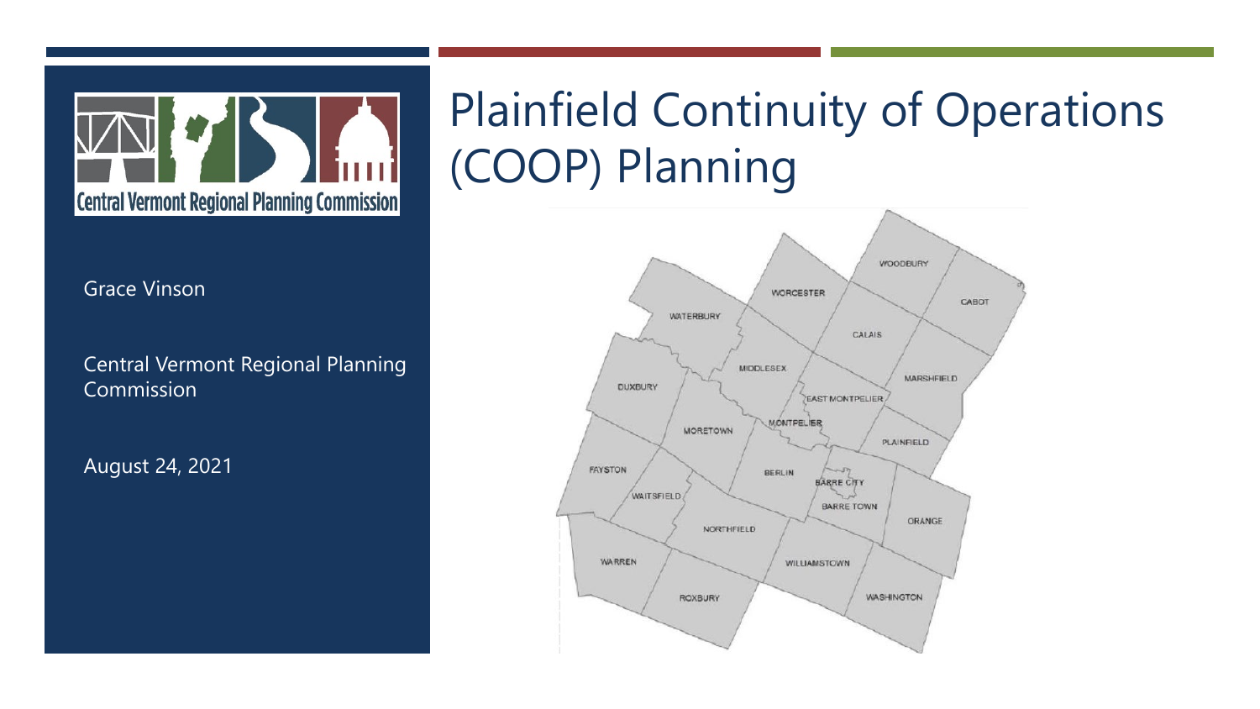

## Plainfield Continuity of Operations (COOP) Planning



Grace Vinson

Central Vermont Regional Planning Commission

August 24, 2021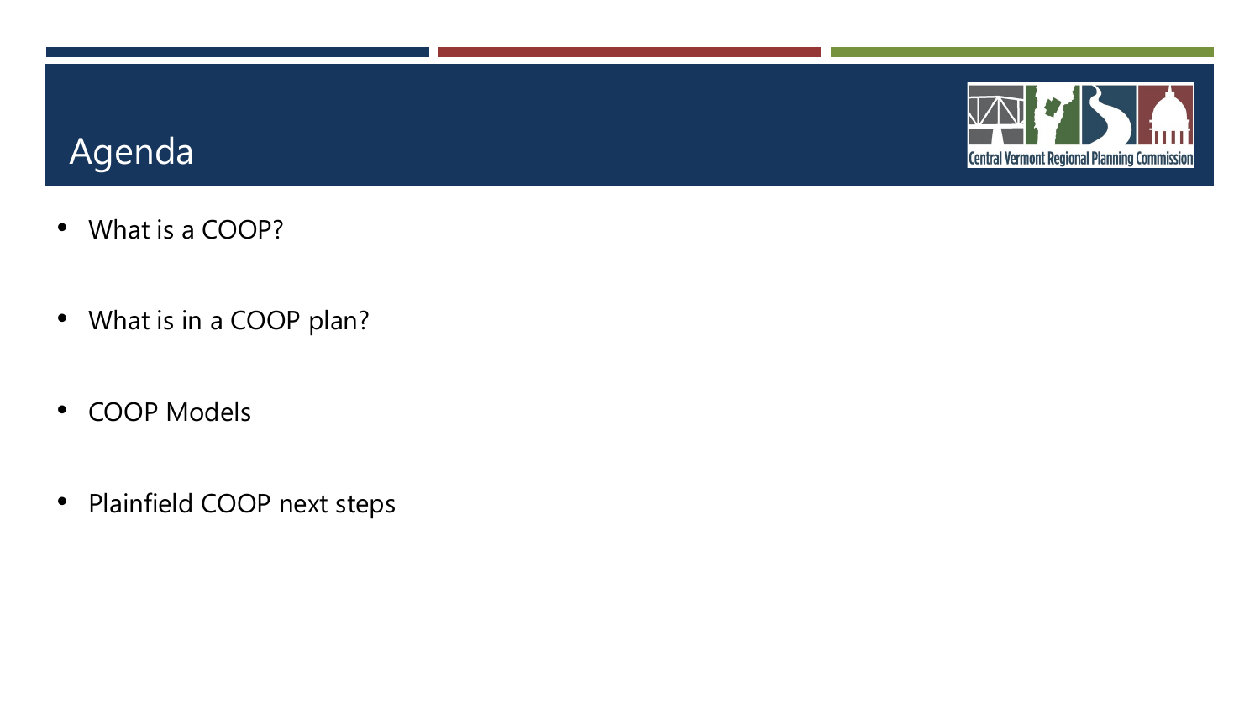## Agenda

- What is a COOP?
- What is in a COOP plan?
- COOP Models
- Plainfield COOP next steps

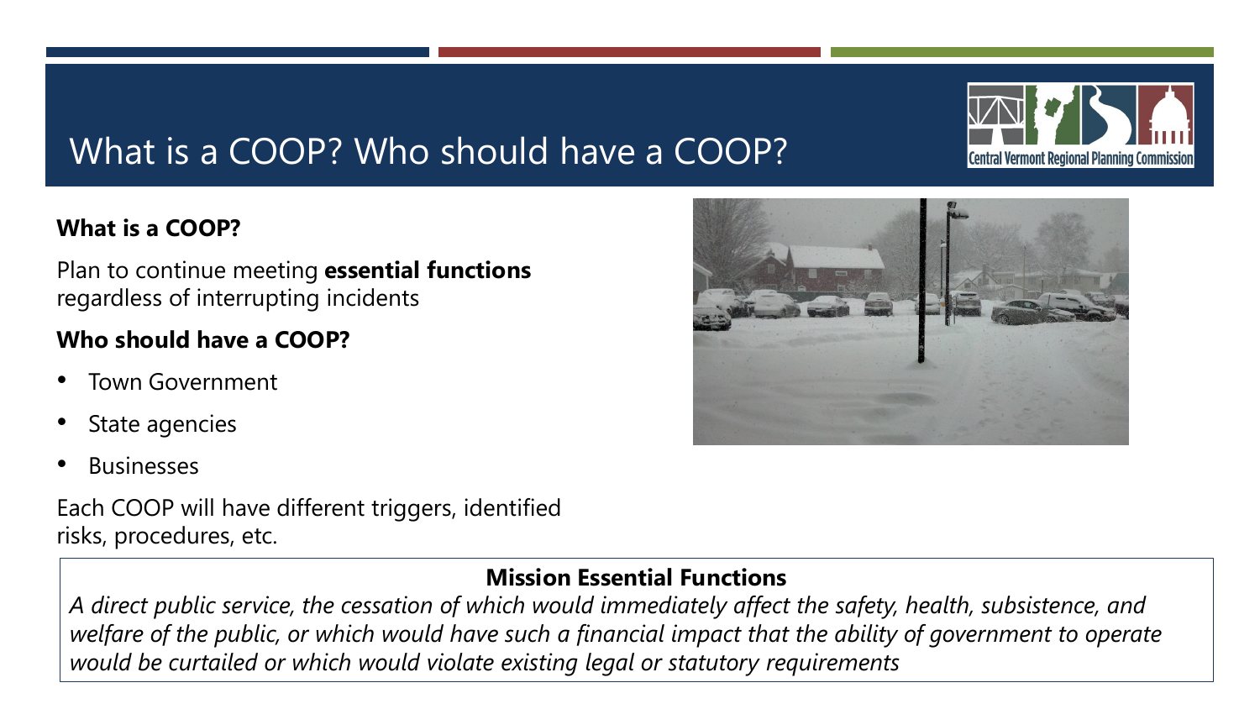## What is a COOP? Who should have a COOP?

#### **What is a COOP?**

Plan to continue meeting **essential functions**  regardless of interrupting incidents

#### **Who should have a COOP?**

- Town Government
- State agencies
- Businesses

Each COOP will have different triggers, identified risks, procedures, etc.

#### **Mission Essential Functions**

*A direct public service, the cessation of which would immediately affect the safety, health, subsistence, and welfare of the public, or which would have such a financial impact that the ability of government to operate would be curtailed or which would violate existing legal or statutory requirements*



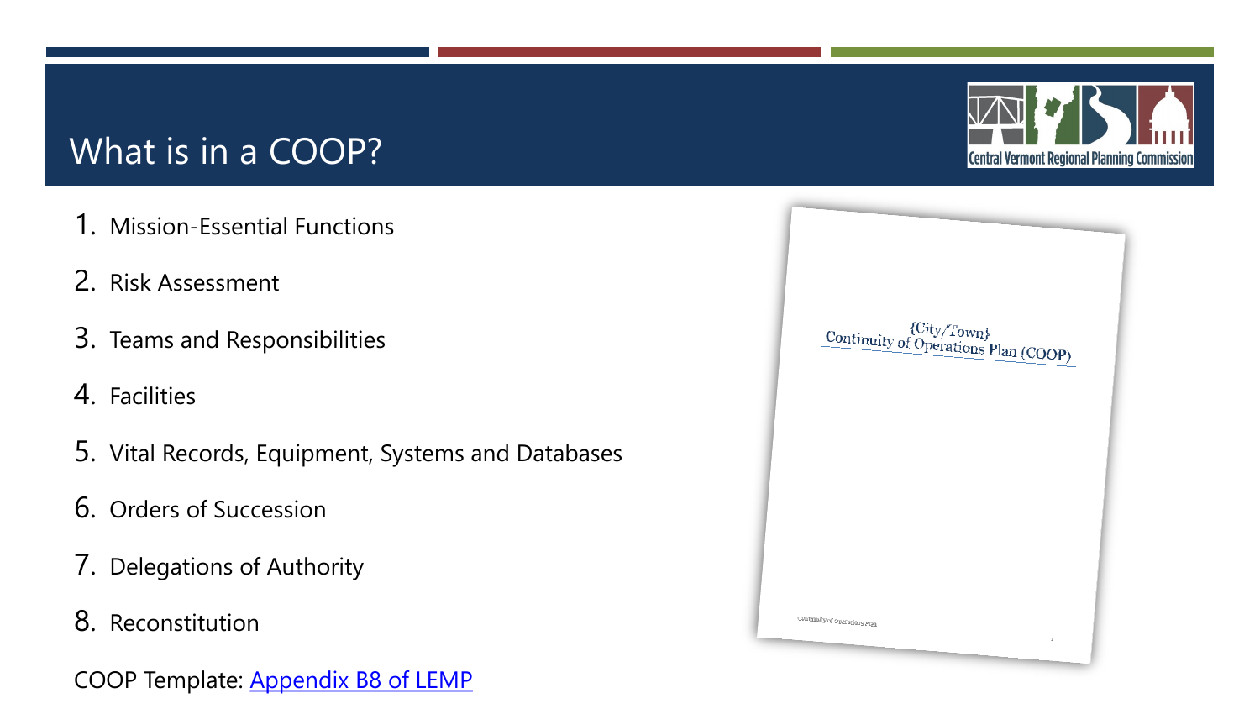## What is in a COOP?

- 1. Mission-Essential Functions
- 2. Risk Assessment
- 3. Teams and Responsibilities
- 4. Facilities
- 5. Vital Records, Equipment, Systems and Databases
- 6. Orders of Succession
- 7. Delegations of Authority
- 8. Reconstitution
- COOP Template: [Appendix B8 of LEMP](https://vem.vermont.gov/plans/local)



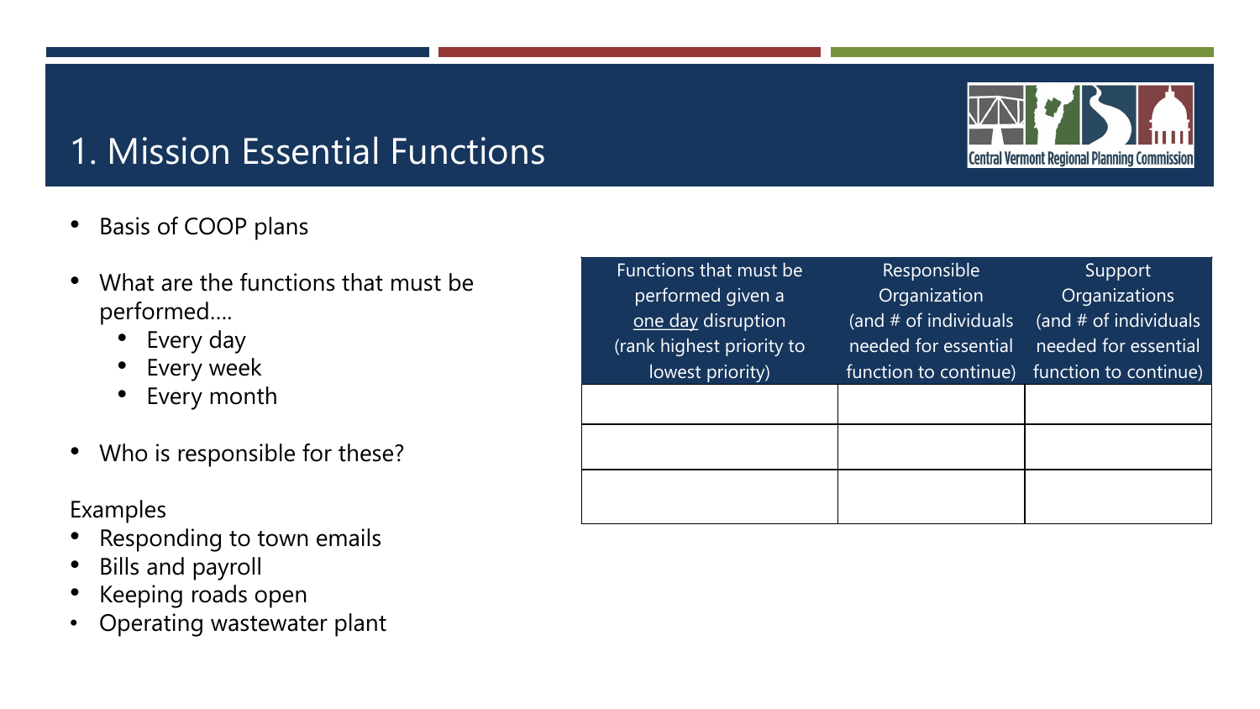## 1. Mission Essential Functions

- Basis of COOP plans
- What are the functions that must be performed….
	- Every day
	- Every week
	- Every month
- Who is responsible for these?

#### Examples

- Responding to town emails
- Bills and payroll
- Keeping roads open
- Operating wastewater plant

| Functions that must be    | Responsible           | Support               |
|---------------------------|-----------------------|-----------------------|
| performed given a         | Organization          | Organizations         |
| one day disruption        | (and # of individuals | (and # of individuals |
| (rank highest priority to | needed for essential  | needed for essential  |
| lowest priority)          | function to continue) | function to continue) |
|                           |                       |                       |
|                           |                       |                       |
|                           |                       |                       |
|                           |                       |                       |
|                           |                       |                       |

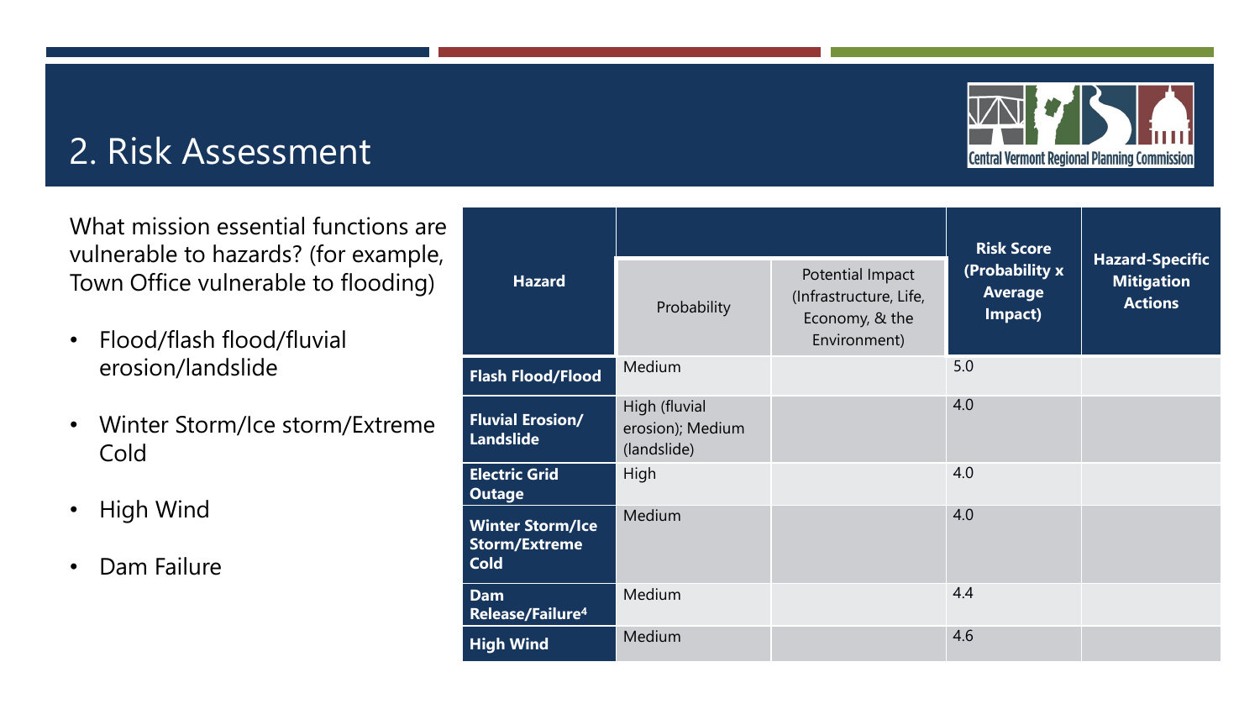# **Central Vermont Regional Planning Commission**

## 2. Risk Assessment

What mission essential functions are vulnerable to hazards? (for example, Town Office vulnerable to flooding)

- Flood/flash flood/fluvial erosion/landslide
- Winter Storm/Ice storm/Extreme Cold
- High Wind
- Dam Failure

| <b>Hazard</b>                                                  | Probability                                      | Potential Impact<br>(Infrastructure, Life,<br>Economy, & the | <b>Risk Score</b><br>(Probability x<br><b>Average</b><br>Impact) | <b>Hazard-Specific</b><br><b>Mitigation</b><br><b>Actions</b> |
|----------------------------------------------------------------|--------------------------------------------------|--------------------------------------------------------------|------------------------------------------------------------------|---------------------------------------------------------------|
|                                                                |                                                  | Environment)                                                 |                                                                  |                                                               |
| <b>Flash Flood/Flood</b>                                       | Medium                                           |                                                              | 5.0                                                              |                                                               |
| <b>Fluvial Erosion/</b><br><b>Landslide</b>                    | High (fluvial<br>erosion); Medium<br>(landslide) |                                                              | 4.0                                                              |                                                               |
| <b>Electric Grid</b><br><b>Outage</b>                          | High                                             |                                                              | 4.0                                                              |                                                               |
| <b>Winter Storm/Ice</b><br><b>Storm/Extreme</b><br><b>Cold</b> | Medium                                           |                                                              | 4.0                                                              |                                                               |
| <b>Dam</b><br>Release/Failure <sup>4</sup>                     | Medium                                           |                                                              | 4.4                                                              |                                                               |
| <b>High Wind</b>                                               | Medium                                           |                                                              | 4.6                                                              |                                                               |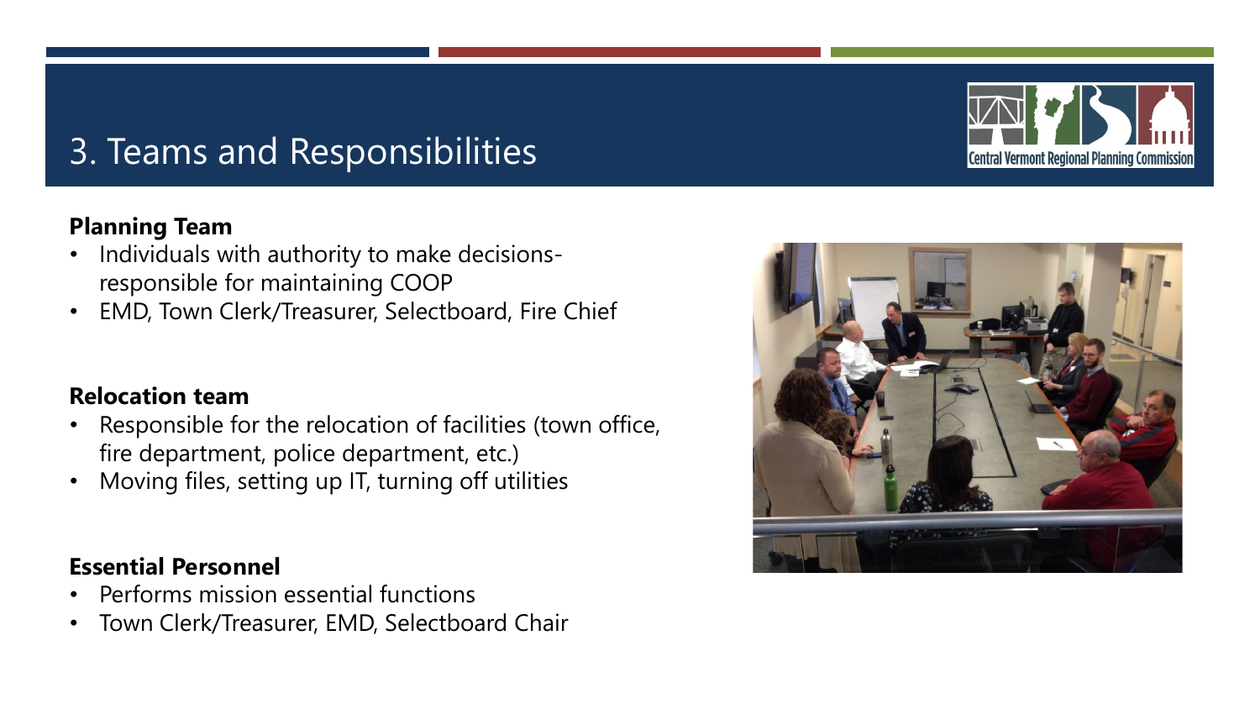## 3. Teams and Responsibilities

#### **Planning Team**

- Individuals with authority to make decisionsresponsible for maintaining COOP
- EMD, Town Clerk/Treasurer, Selectboard, Fire Chief

#### **Relocation team**

- Responsible for the relocation of facilities (town office, fire department, police department, etc.)
- Moving files, setting up IT, turning off utilities

#### **Essential Personnel**

- Performs mission essential functions
- Town Clerk/Treasurer, EMD, Selectboard Chair



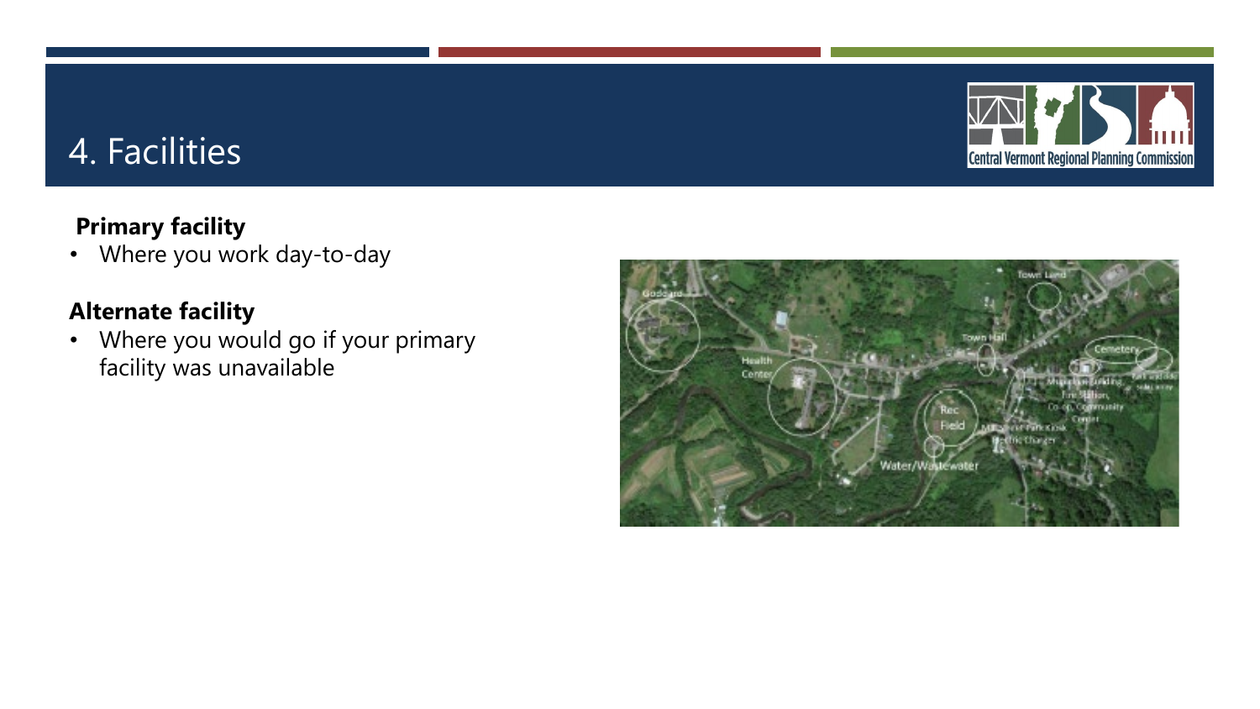

## 4. Facilities

#### **Primary facility**

• Where you work day-to-day

#### **Alternate facility**

• Where you would go if your primary facility was unavailable

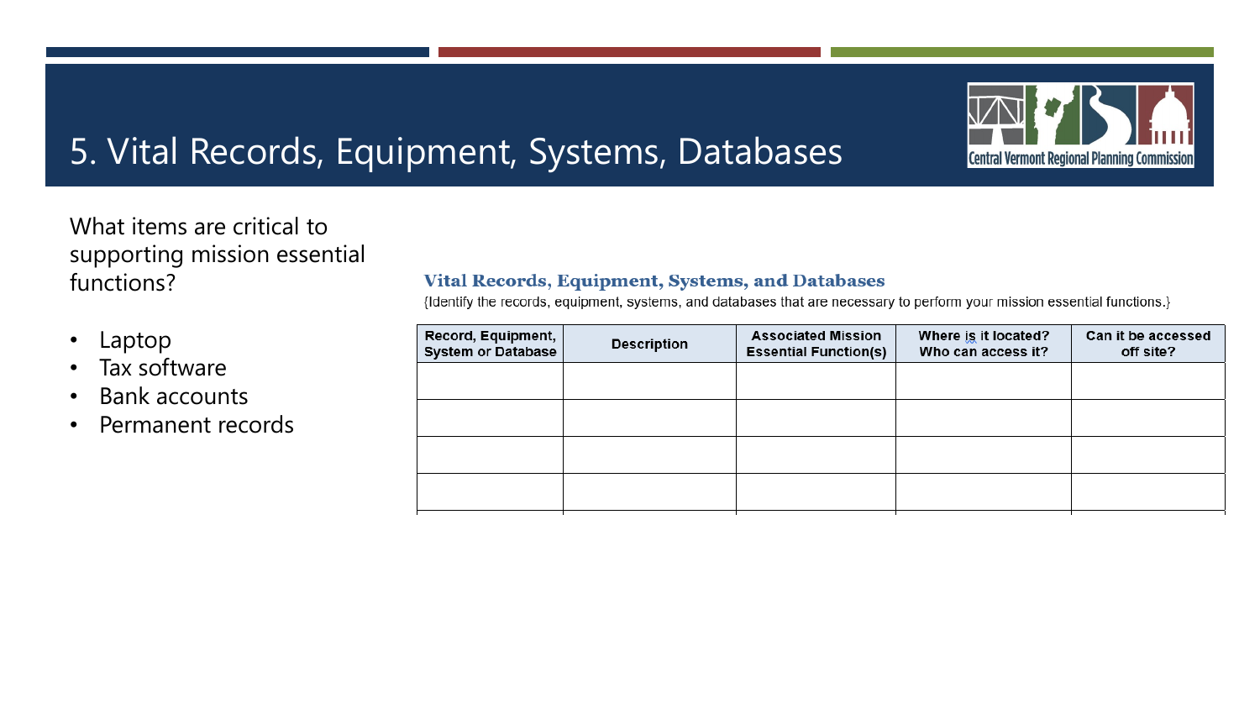## 5. Vital Records, Equipment, Systems, Databases



What items are critical to supporting mission essential functions?

- Laptop
- Tax software
- Bank accounts
- Permanent records

#### **Vital Records, Equipment, Systems, and Databases**

{Identify the records, equipment, systems, and databases that are necessary to perform your mission essential functions.}

| Record, Equipment,<br><b>System or Database</b> | <b>Description</b> | <b>Associated Mission</b><br><b>Essential Function(s)</b> | Where is it located?<br>Who can access it? | Can it be accessed<br>off site? |
|-------------------------------------------------|--------------------|-----------------------------------------------------------|--------------------------------------------|---------------------------------|
|                                                 |                    |                                                           |                                            |                                 |
|                                                 |                    |                                                           |                                            |                                 |
|                                                 |                    |                                                           |                                            |                                 |
|                                                 |                    |                                                           |                                            |                                 |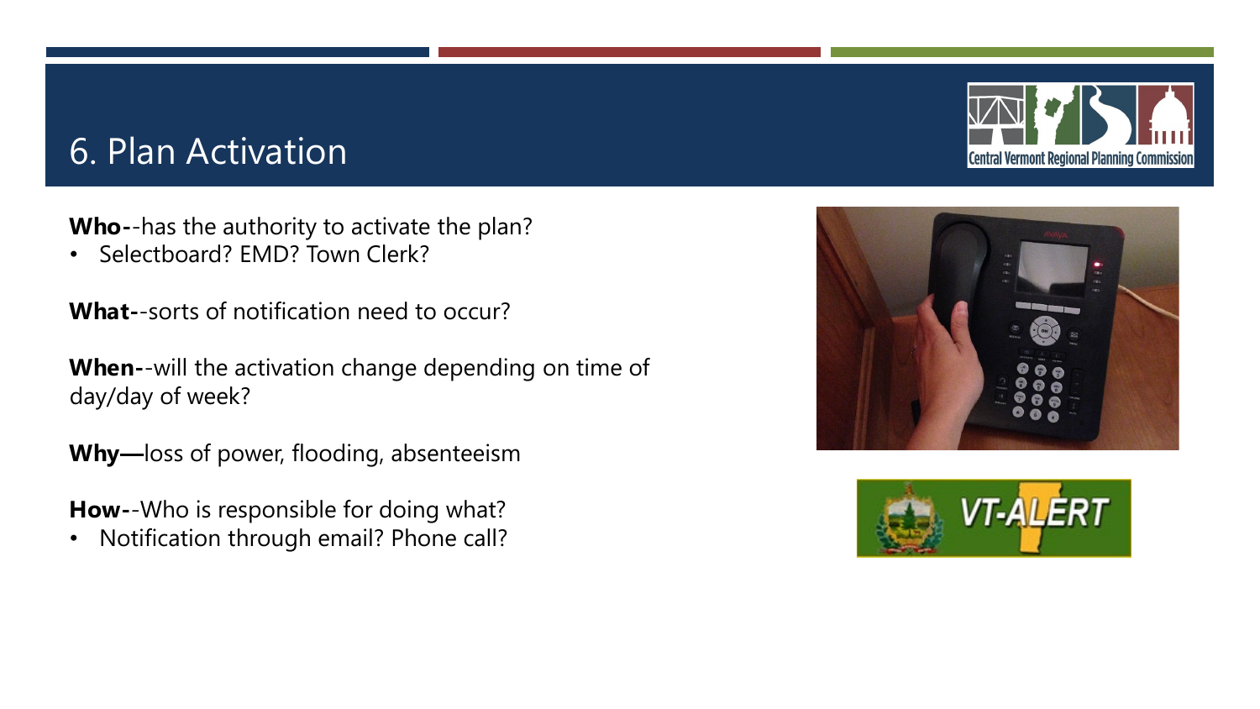## 6. Plan Activation

**Who-**-has the authority to activate the plan?

• Selectboard? EMD? Town Clerk?

**What-**-sorts of notification need to occur?

**When-**-will the activation change depending on time of day/day of week?

**Why—**loss of power, flooding, absenteeism

**How-**-Who is responsible for doing what?

• Notification through email? Phone call?





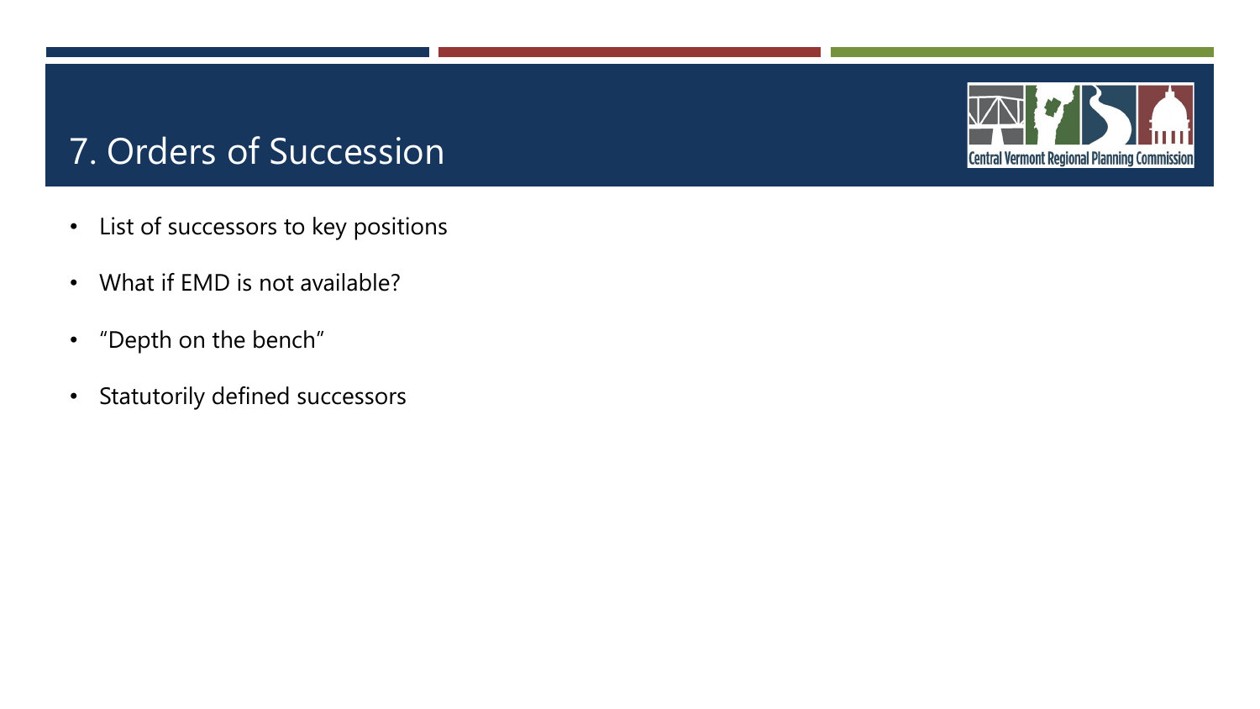## 7. Orders of Succession

- List of successors to key positions
- What if EMD is not available?
- "Depth on the bench"
- Statutorily defined successors

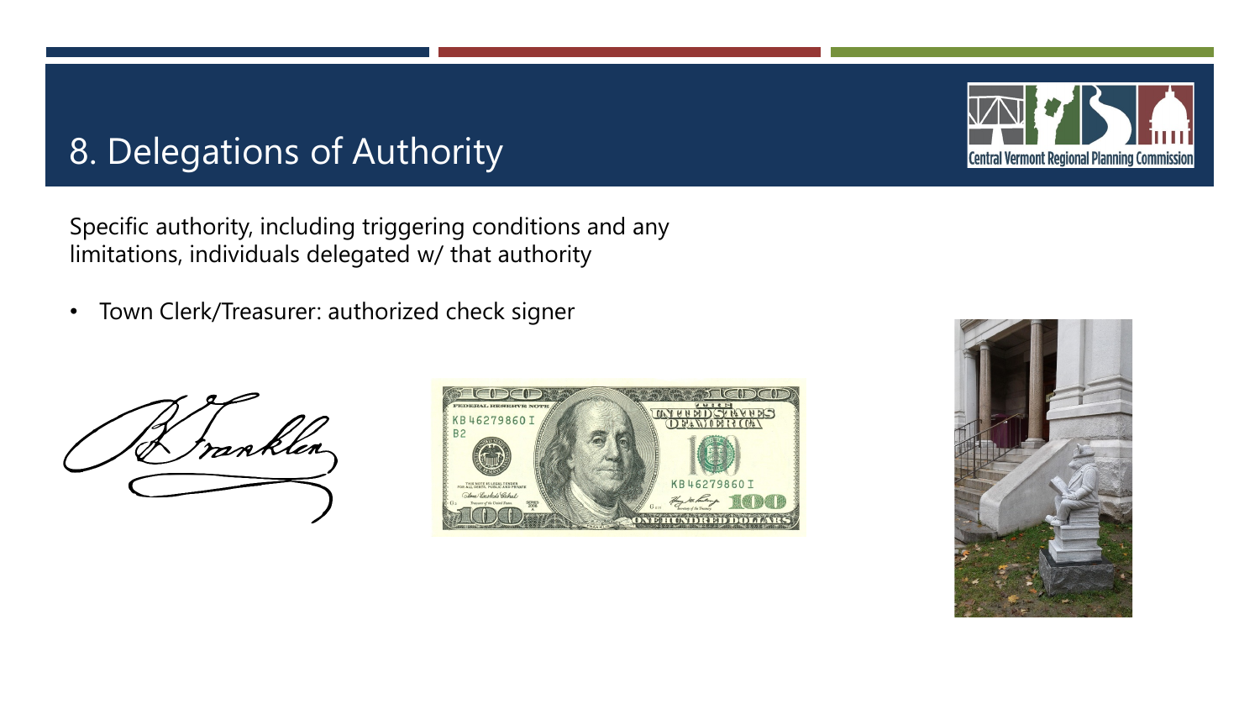## 8. Delegations of Authority

Specific authority, including triggering conditions and any limitations, individuals delegated w/ that authority

• Town Clerk/Treasurer: authorized check signer







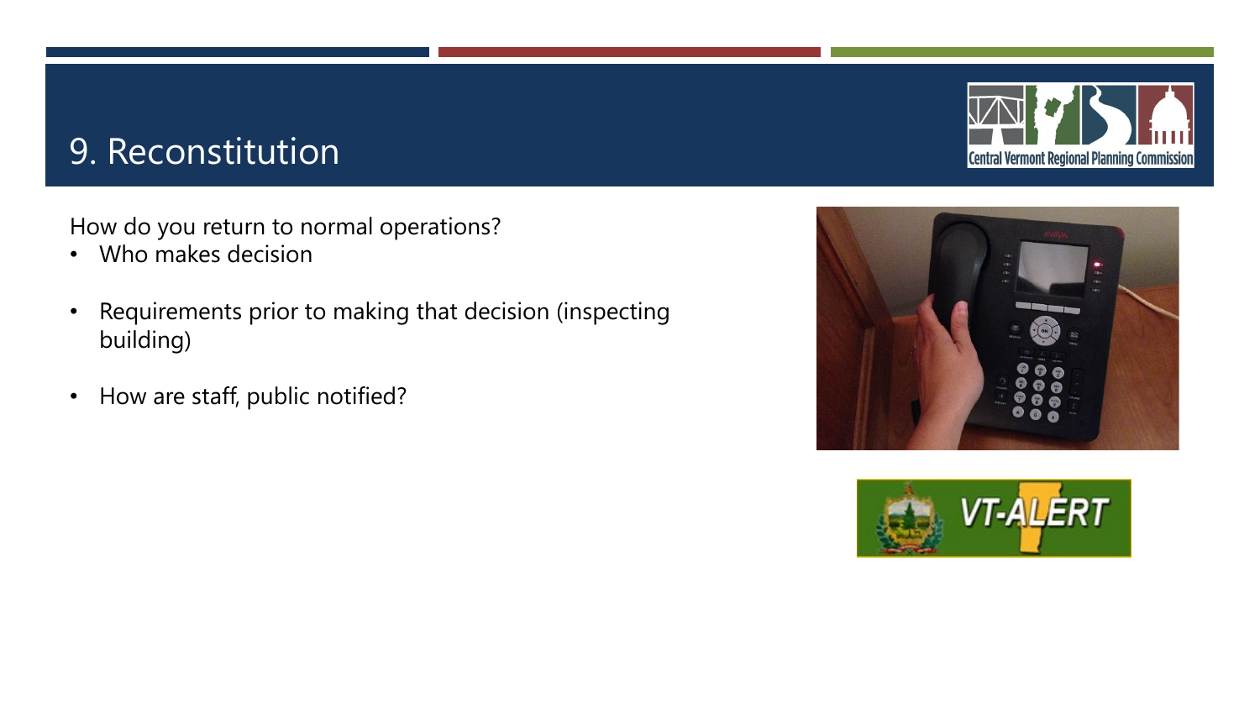## 9. Reconstitution

How do you return to normal operations?

- Who makes decision
- Requirements prior to making that decision (inspecting building)
- How are staff, public notified?





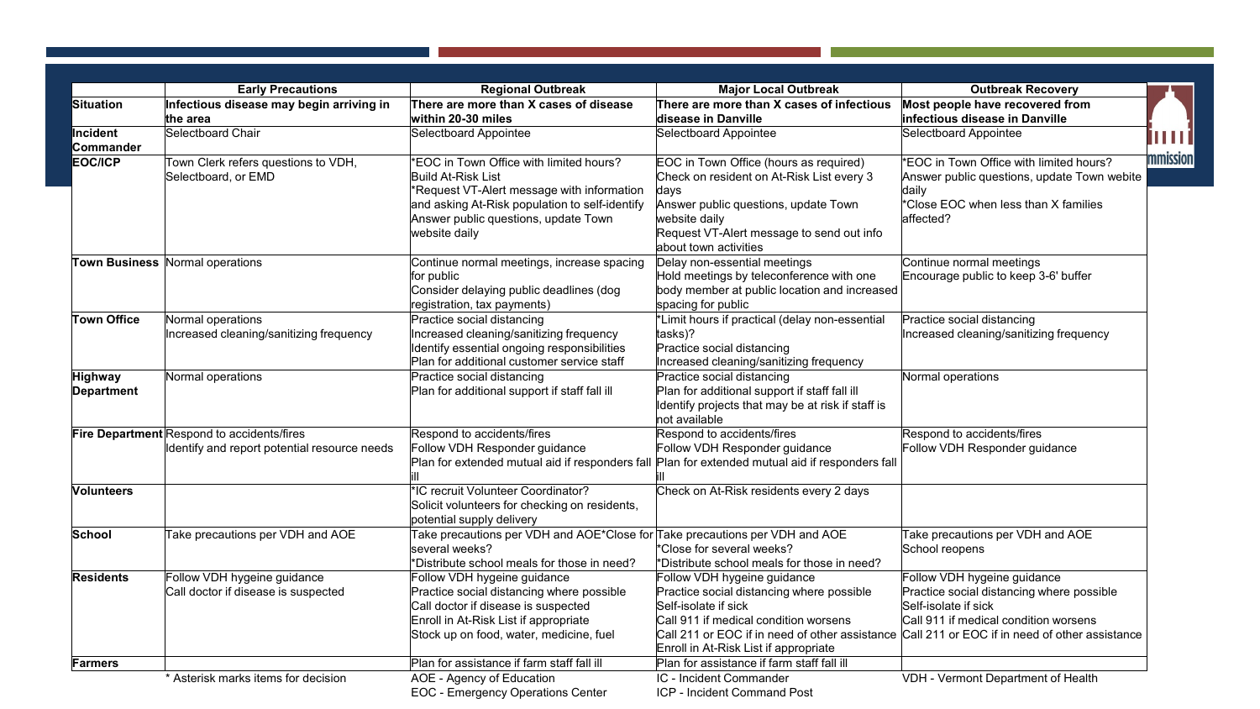|                                     | <b>Early Precautions</b>                                                                   | <b>Regional Outbreak</b>                                                                                                                                                                                               | <b>Major Local Outbreak</b>                                                                                                                                                                                                          | <b>Outbreak Recovery</b>                                                                                                                                                                    |
|-------------------------------------|--------------------------------------------------------------------------------------------|------------------------------------------------------------------------------------------------------------------------------------------------------------------------------------------------------------------------|--------------------------------------------------------------------------------------------------------------------------------------------------------------------------------------------------------------------------------------|---------------------------------------------------------------------------------------------------------------------------------------------------------------------------------------------|
| <b>Situation</b>                    | Infectious disease may begin arriving in<br>the area                                       | There are more than X cases of disease<br>within 20-30 miles                                                                                                                                                           | There are more than X cases of infectious<br>disease in Danville                                                                                                                                                                     | Most people have recovered from<br>infectious disease in Danville                                                                                                                           |
| Incident<br>Commander               | Selectboard Chair                                                                          | Selectboard Appointee                                                                                                                                                                                                  | Selectboard Appointee                                                                                                                                                                                                                | Selectboard Appointee                                                                                                                                                                       |
| <b>EOC/ICP</b>                      | Town Clerk refers questions to VDH,<br>Selectboard, or EMD                                 | *EOC in Town Office with limited hours?<br>Build At-Risk List<br>*Request VT-Alert message with information<br>and asking At-Risk population to self-identify<br>Answer public questions, update Town<br>website daily | EOC in Town Office (hours as required)<br>Check on resident on At-Risk List every 3<br>days<br>Answer public questions, update Town<br>website daily<br>Request VT-Alert message to send out info<br>about town activities           | *EOC in Town Office with limited hours?<br>Answer public questions, update Town webite<br>daily<br>*Close EOC when less than X families<br>affected?                                        |
|                                     | Town Business Normal operations                                                            | Continue normal meetings, increase spacing<br>for public<br>Consider delaying public deadlines (dog<br>registration, tax payments)                                                                                     | Delay non-essential meetings<br>Hold meetings by teleconference with one<br>body member at public location and increased<br>spacing for public                                                                                       | Continue normal meetings<br>Encourage public to keep 3-6' buffer                                                                                                                            |
| <b>Town Office</b>                  | Normal operations<br>Increased cleaning/sanitizing frequency                               | Practice social distancing<br>Increased cleaning/sanitizing frequency<br>Identify essential ongoing responsibilities<br>Plan for additional customer service staff                                                     | *Limit hours if practical (delay non-essential<br>tasks)?<br>Practice social distancing<br>Increased cleaning/sanitizing frequency                                                                                                   | Practice social distancing<br>Increased cleaning/sanitizing frequency                                                                                                                       |
| <b>Highway</b><br><b>Department</b> | Normal operations                                                                          | Practice social distancing<br>Plan for additional support if staff fall ill                                                                                                                                            | Practice social distancing<br>Plan for additional support if staff fall ill<br>Identify projects that may be at risk if staff is<br>not available                                                                                    | Normal operations                                                                                                                                                                           |
|                                     | Fire Department Respond to accidents/fires<br>Identify and report potential resource needs | Respond to accidents/fires<br>Follow VDH Responder guidance<br>Plan for extended mutual aid if responders fall Plan for extended mutual aid if responders fall                                                         | Respond to accidents/fires<br>Follow VDH Responder guidance                                                                                                                                                                          | Respond to accidents/fires<br>Follow VDH Responder guidance                                                                                                                                 |
| <b>Volunteers</b>                   |                                                                                            | *IC recruit Volunteer Coordinator?<br>Solicit volunteers for checking on residents,<br>potential supply delivery                                                                                                       | Check on At-Risk residents every 2 days                                                                                                                                                                                              |                                                                                                                                                                                             |
| School                              | Take precautions per VDH and AOE                                                           | Take precautions per VDH and AOE*Close for Take precautions per VDH and AOE<br>several weeks?<br>*Distribute school meals for those in need?                                                                           | *Close for several weeks?<br>*Distribute school meals for those in need?                                                                                                                                                             | Take precautions per VDH and AOE<br>School reopens                                                                                                                                          |
| <b>Residents</b>                    | Follow VDH hygeine guidance<br>Call doctor if disease is suspected                         | Follow VDH hygeine guidance<br>Practice social distancing where possible<br>Call doctor if disease is suspected<br>Enroll in At-Risk List if appropriate<br>Stock up on food, water, medicine, fuel                    | Follow VDH hygeine guidance<br>Practice social distancing where possible<br>Self-isolate if sick<br>Call 911 if medical condition worsens<br>Call 211 or EOC if in need of other assistance<br>Enroll in At-Risk List if appropriate | Follow VDH hygeine guidance<br>Practice social distancing where possible<br>Self-isolate if sick<br>Call 911 if medical condition worsens<br>Call 211 or EOC if in need of other assistance |
| Farmers                             |                                                                                            | Plan for assistance if farm staff fall ill                                                                                                                                                                             | Plan for assistance if farm staff fall ill                                                                                                                                                                                           |                                                                                                                                                                                             |
|                                     | * Asterisk marks items for decision                                                        | AOE - Agency of Education<br><b>EOC - Emergency Operations Center</b>                                                                                                                                                  | IC - Incident Commander<br>ICP - Incident Command Post                                                                                                                                                                               | VDH - Vermont Department of Health                                                                                                                                                          |